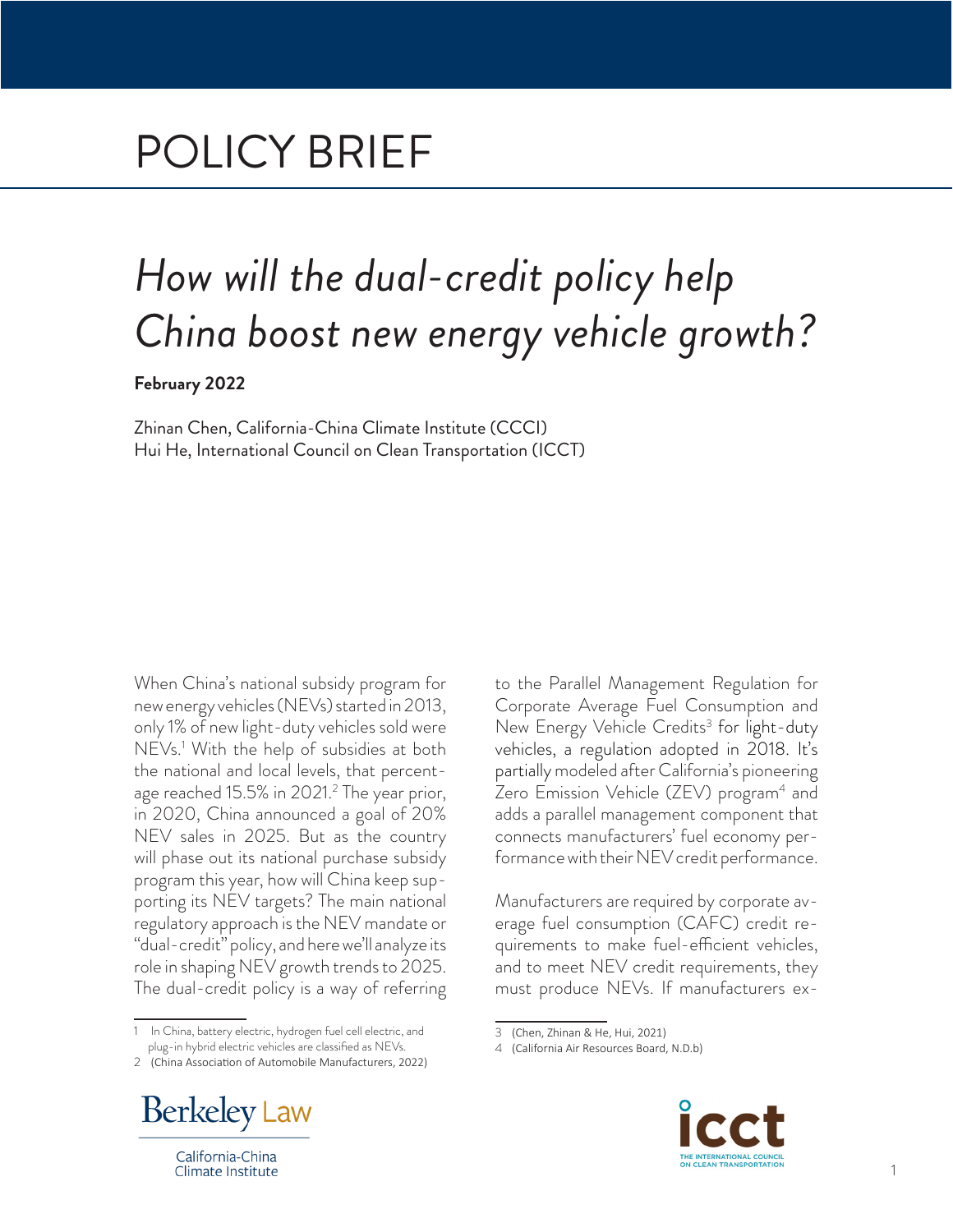## POLICY BRIEF

## *How will the dual-credit policy help China boost new energy vehicle growth?*

**February 2022** 

Zhinan Chen, California-China Climate Institute (CCCI) Hui He, International Council on Clean Transportation (ICCT)

When China's national subsidy program for new energy vehicles (NEVs) started in 2013, only 1% of new light-duty vehicles sold were NEVs.1 With the help of subsidies at both the national and local levels, that percentage reached 15.5% in 2021.<sup>2</sup> The year prior, in 2020, China announced a goal of 20% NEV sales in 2025. But as the country will phase out its national purchase subsidy program this year, how will China keep supporting its NEV targets? The main national regulatory approach is the NEV mandate or "dual-credit" policy, and here we'll analyze its role in shaping NEV growth trends to 2025. The dual-credit policy is a way of referring

1 In China, battery electric, hydrogen fuel cell electric, and plug-in hybrid electric vehicles are classified as NEVs.

to the Parallel Management Regulation for Corporate Average Fuel Consumption and New Energy Vehicle Credits<sup>3</sup> for light-duty vehicles, a regulation adopted in 2018. It's partially modeled after California's pioneering Zero Emission Vehicle (ZEV) program<sup>4</sup> and adds a parallel management component that connects manufacturers' fuel economy performance with their NEV credit performance.

Manufacturers are required by corporate average fuel consumption (CAFC) credit requirements to make fuel-efficient vehicles, and to meet NEV credit requirements, they must produce NEVs. If manufacturers ex-





<sup>2</sup> (China Association of Automobile Manufacturers, 2022)

<sup>3</sup> (Chen, Zhinan & He, Hui, 2021)

<sup>4</sup> (California Air Resources Board, N.D.b)

California-China Climate Institute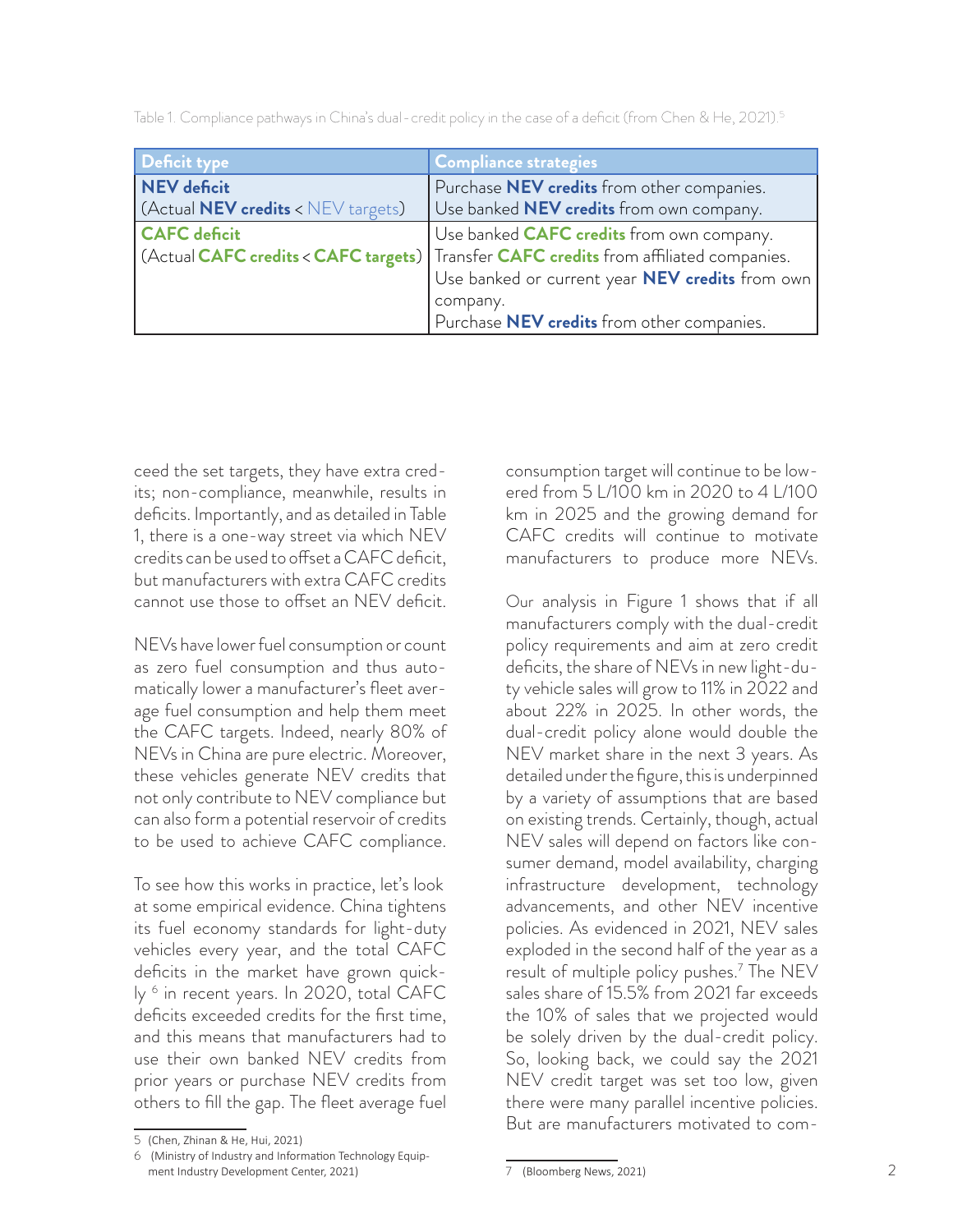| Table 1. Compliance pathways in China's dual-credit policy in the case of a deficit (from Chen & He, 2021). <sup>5</sup> |  |  |  |  |  |  |
|--------------------------------------------------------------------------------------------------------------------------|--|--|--|--|--|--|
|--------------------------------------------------------------------------------------------------------------------------|--|--|--|--|--|--|

| Deficit type                         | <b>Compliance strategies</b>                                                                        |
|--------------------------------------|-----------------------------------------------------------------------------------------------------|
| NEV deficit                          | Purchase NEV credits from other companies.                                                          |
| $(Actual NEV credits < NEV targets)$ | Use banked NEV credits from own company.                                                            |
| <b>CAFC</b> deficit                  | Use banked <b>CAFC credits</b> from own company.                                                    |
| (Actual CAFC credits < CAFC targets) | Transfer CAFC credits from affiliated companies.<br>Use banked or current year NEV credits from own |
|                                      |                                                                                                     |
|                                      | company.                                                                                            |
|                                      | Purchase NEV credits from other companies.                                                          |

ceed the set targets, they have extra credits; non-compliance, meanwhile, results in deficits. Importantly, and as detailed in Table 1, there is a one-way street via which NEV credits can be used to offset a CAFC deficit, but manufacturers with extra CAFC credits cannot use those to offset an NEV deficit.

NEVs have lower fuel consumption or count as zero fuel consumption and thus automatically lower a manufacturer's fleet average fuel consumption and help them meet the CAFC targets. Indeed, nearly 80% of NEVs in China are pure electric. Moreover, these vehicles generate NEV credits that not only contribute to NEV compliance but can also form a potential reservoir of credits to be used to achieve CAFC compliance.

To see how this works in practice, let's look at some empirical evidence. China tightens its fuel economy standards for light-duty vehicles every year, and the total CAFC deficits in the market have grown quickly 6 in recent years. In 2020, total CAFC deficits exceeded credits for the first time, and this means that manufacturers had to use their own banked NEV credits from prior years or purchase NEV credits from others to fill the gap. The fleet average fuel

consumption target will continue to be lowered from 5 L/100 km in 2020 to 4 L/100 km in 2025 and the growing demand for CAFC credits will continue to motivate manufacturers to produce more NEVs.

Our analysis in Figure 1 shows that if all manufacturers comply with the dual-credit policy requirements and aim at zero credit deficits, the share of NEVs in new light-duty vehicle sales will grow to 11% in 2022 and about 22% in 2025. In other words, the dual-credit policy alone would double the NEV market share in the next 3 years. As detailed under the figure, this is underpinned by a variety of assumptions that are based on existing trends. Certainly, though, actual NEV sales will depend on factors like consumer demand, model availability, charging infrastructure development, technology advancements, and other NEV incentive policies. As evidenced in 2021, NEV sales exploded in the second half of the year as a result of multiple policy pushes.7 The NEV sales share of 15.5% from 2021 far exceeds the 10% of sales that we projected would be solely driven by the dual-credit policy. So, looking back, we could say the 2021 NEV credit target was set too low, given there were many parallel incentive policies. But are manufacturers motivated to com-

<sup>5</sup> (Chen, Zhinan & He, Hui, 2021)

<sup>6</sup> (Ministry of Industry and Information Technology Equipment Industry Development Center, 2021)

<sup>7</sup> (Bloomberg News, 2021)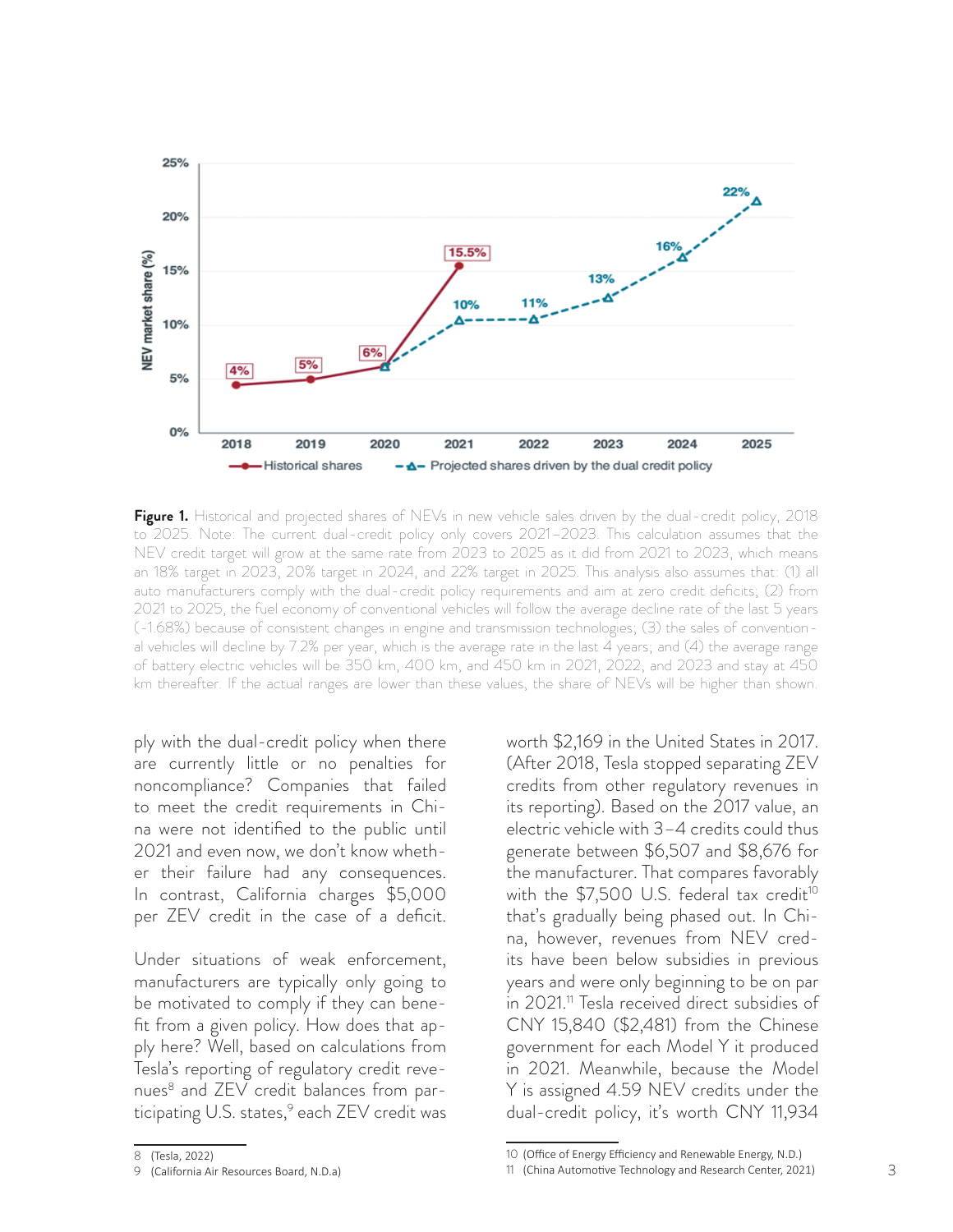

**Figure 1.** Historical and projected shares of NEVs in new vehicle sales driven by the dual-credit policy, 2018 to 2025. Note: The current dual-credit policy only covers 2021–2023. This calculation assumes that the NEV credit target will grow at the same rate from 2023 to 2025 as it did from 2021 to 2023, which means an 18% target in 2023, 20% target in 2024, and 22% target in 2025. This analysis also assumes that: (1) all auto manufacturers comply with the dual-credit policy requirements and aim at zero credit deficits; (2) from 2021 to 2025, the fuel economy of conventional vehicles will follow the average decline rate of the last 5 years (-1.68%) because of consistent changes in engine and transmission technologies; (3) the sales of conventional vehicles will decline by 7.2% per year, which is the average rate in the last 4 years; and (4) the average range of battery electric vehicles will be 350 km, 400 km, and 450 km in 2021, 2022, and 2023 and stay at 450 km thereafter. If the actual ranges are lower than these values, the share of NEVs will be higher than shown.

ply with the dual-credit policy when there are currently little or no penalties for noncompliance? Companies that failed to meet the credit requirements in China were not identified to the public until 2021 and even now, we don't know whether their failure had any consequences. In contrast, California charges \$5,000 per ZEV credit in the case of a deficit.

Under situations of weak enforcement, manufacturers are typically only going to be motivated to comply if they can benefit from a given policy. How does that apply here? Well, based on calculations from Tesla's reporting of regulatory credit revenues<sup>8</sup> and ZEV credit balances from participating U.S. states, $9$  each ZEV credit was

worth \$2,169 in the United States in 2017. (After 2018, Tesla stopped separating ZEV credits from other regulatory revenues in its reporting). Based on the 2017 value, an electric vehicle with 3–4 credits could thus generate between \$6,507 and \$8,676 for the manufacturer. That compares favorably with the  $$7,500$  U.S. federal tax credit<sup>10</sup> that's gradually being phased out. In China, however, revenues from NEV credits have been below subsidies in previous years and were only beginning to be on par in 2021.11 Tesla received direct subsidies of CNY 15,840 (\$2,481) from the Chinese government for each Model Y it produced in 2021. Meanwhile, because the Model Y is assigned 4.59 NEV credits under the dual-credit policy, it's worth CNY 11,934

<sup>8</sup> (Tesla, 2022)

<sup>9</sup> (California Air Resources Board, N.D.a)

<sup>10</sup> (Office of Energy Efficiency and Renewable Energy, N.D.)

<sup>11</sup> (China Automotive Technology and Research Center, 2021)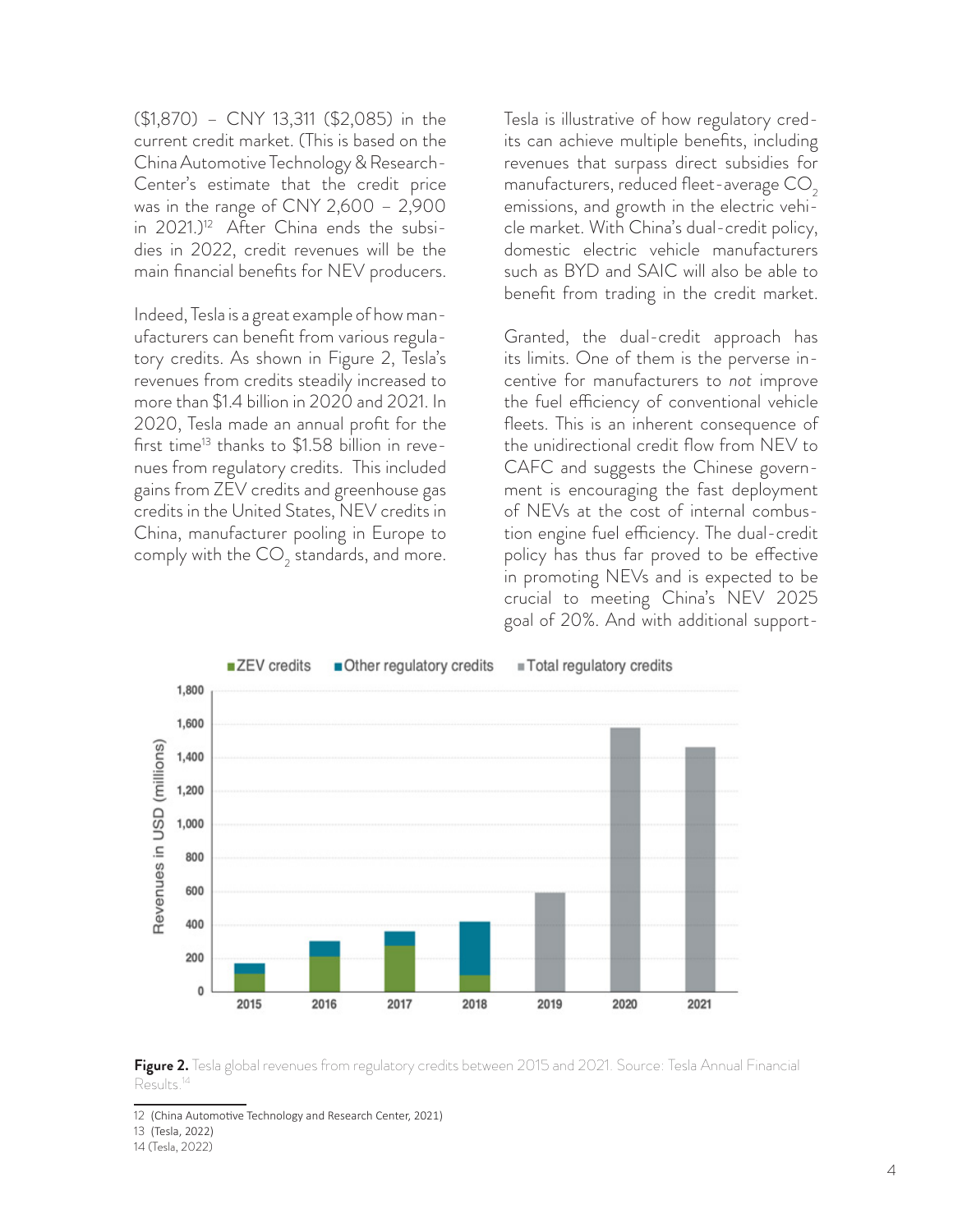(\$1,870) – CNY 13,311 (\$2,085) in the current credit market. (This is based on the China Automotive Technology & Research-Center's estimate that the credit price was in the range of CNY 2,600 – 2,900 in  $2021$ .)<sup>12</sup> After China ends the subsidies in 2022, credit revenues will be the main financial benefits for NEV producers.

Indeed, Tesla is a great example of how manufacturers can benefit from various regulatory credits. As shown in Figure 2, Tesla's revenues from credits steadily increased to more than \$1.4 billion in 2020 and 2021. In 2020, Tesla made an annual profit for the first time<sup>13</sup> thanks to  $$1.58$  billion in revenues from regulatory credits. This included gains from ZEV credits and greenhouse gas credits in the United States, NEV credits in China, manufacturer pooling in Europe to comply with the  $\mathsf{CO}_2^{}$  standards, and more.

Tesla is illustrative of how regulatory credits can achieve multiple benefits, including revenues that surpass direct subsidies for manufacturers, reduced fleet-average  $CO<sub>2</sub>$ emissions, and growth in the electric vehicle market. With China's dual-credit policy, domestic electric vehicle manufacturers such as BYD and SAIC will also be able to benefit from trading in the credit market.

Granted, the dual-credit approach has its limits. One of them is the perverse incentive for manufacturers to *not* improve the fuel efficiency of conventional vehicle fleets. This is an inherent consequence of the unidirectional credit flow from NEV to CAFC and suggests the Chinese government is encouraging the fast deployment of NEVs at the cost of internal combustion engine fuel efficiency. The dual-credit policy has thus far proved to be effective in promoting NEVs and is expected to be crucial to meeting China's NEV 2025 goal of 20%. And with additional support-





<sup>12</sup> (China Automotive Technology and Research Center, 2021)

<sup>13</sup> (Tesla, 2022)

<sup>14</sup> (Tesla, 2022)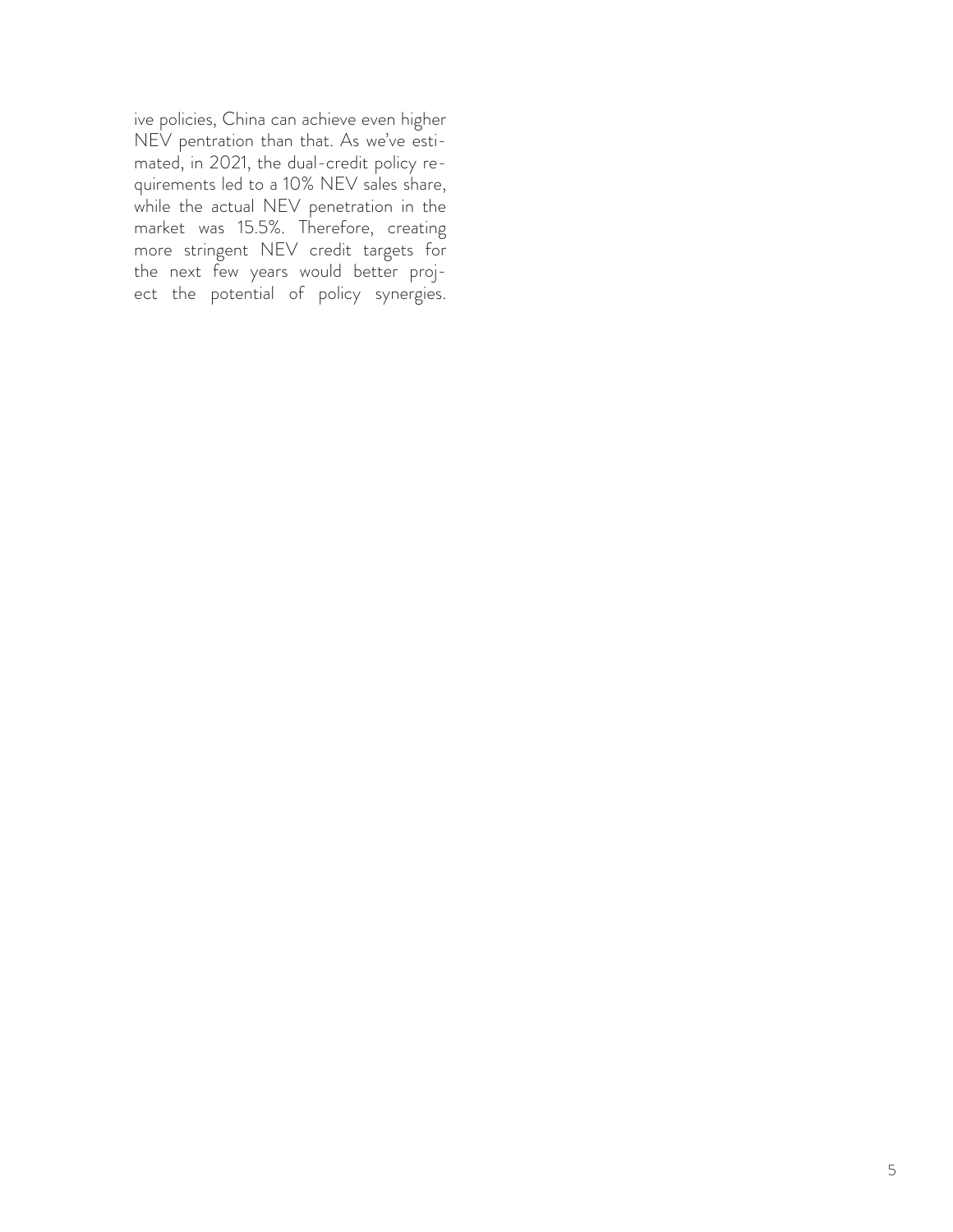ive policies, China can achieve even higher NEV pentration than that. As we've estimated, in 2021, the dual-credit policy requirements led to a 10% NEV sales share, while the actual NEV penetration in the market was 15.5%. Therefore, creating more stringent NEV credit targets for the next few years would better project the potential of policy synergies.